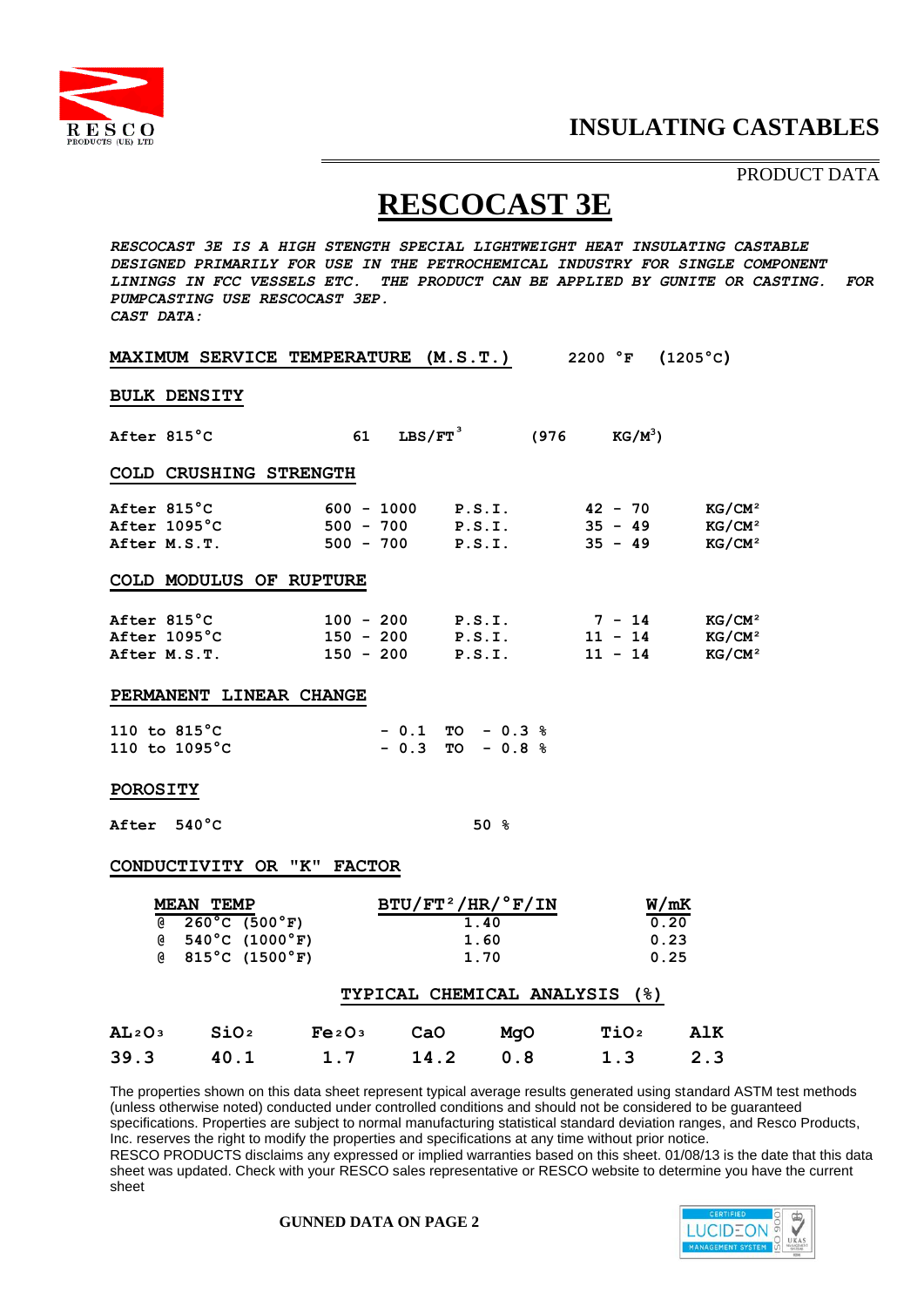

PRODUCT DATA

# **RESCOCAST 3E**

*RESCOCAST 3E IS A HIGH STENGTH SPECIAL LIGHTWEIGHT HEAT INSULATING CASTABLE DESIGNED PRIMARILY FOR USE IN THE PETROCHEMICAL INDUSTRY FOR SINGLE COMPONENT LININGS IN FCC VESSELS ETC. THE PRODUCT CAN BE APPLIED BY GUNITE OR CASTING. FOR PUMPCASTING USE RESCOCAST 3EP. CAST DATA:*

|                                                                                                                                |                 |                                             | <b>MAXIMUM SERVICE TEMPERATURE</b> |                              | (M.S.T.)                               |                        |  | 2200 °F                            | $(1205^{\circ}$ C) |                                                                |
|--------------------------------------------------------------------------------------------------------------------------------|-----------------|---------------------------------------------|------------------------------------|------------------------------|----------------------------------------|------------------------|--|------------------------------------|--------------------|----------------------------------------------------------------|
| <b>BULK DENSITY</b>                                                                                                            |                 |                                             |                                    |                              |                                        |                        |  |                                    |                    |                                                                |
| After 815°C                                                                                                                    |                 |                                             |                                    | 61 $LBS/FT^3$                |                                        | $(976 \text{ KG/M}^3)$ |  |                                    |                    |                                                                |
|                                                                                                                                |                 | COLD CRUSHING STRENGTH                      |                                    |                              |                                        |                        |  |                                    |                    |                                                                |
| After 815°C<br>After 1095°C                                                                                                    |                 |                                             | $500 - 700$                        |                              | $600 - 1000$ P.S.I.<br>P.S.I.          |                        |  | $42 - 70$<br>$35 - 49$             |                    | KG/CM <sup>2</sup><br>KG/CM <sup>2</sup>                       |
| After M.S.T.                                                                                                                   |                 |                                             | $500 - 700$                        |                              | P.S.I.                                 |                        |  | $35 - 49$                          |                    | KG/CM <sup>2</sup>                                             |
|                                                                                                                                |                 | COLD MODULUS OF RUPTURE                     |                                    |                              |                                        |                        |  |                                    |                    |                                                                |
| After 815°C<br>After 1095°C<br>After M.S.T.                                                                                    |                 |                                             | $150 - 200$<br>$150 - 200$         |                              | $100 - 200$ P.S.I.<br>P.S.I.<br>P.S.I. |                        |  | $7 - 14$<br>$11 - 14$<br>$11 - 14$ |                    | KG/CM <sup>2</sup><br>KG/CM <sup>2</sup><br>KG/CM <sup>2</sup> |
|                                                                                                                                |                 | PERMANENT LINEAR CHANGE                     |                                    |                              |                                        |                        |  |                                    |                    |                                                                |
| 110 to $815^{\circ}$ C<br>$-0.1$ TO $-0.3$ %<br>110 to 1095°C<br>$-0.3$<br>$TO - 0.8 %$                                        |                 |                                             |                                    |                              |                                        |                        |  |                                    |                    |                                                                |
| <b>POROSITY</b>                                                                                                                |                 |                                             |                                    |                              |                                        |                        |  |                                    |                    |                                                                |
| <b>After</b>                                                                                                                   | $540^{\circ}$ C |                                             |                                    |                              | 50%                                    |                        |  |                                    |                    |                                                                |
| CONDUCTIVITY OR "K" FACTOR                                                                                                     |                 |                                             |                                    |                              |                                        |                        |  |                                    |                    |                                                                |
| <b>MEAN TEMP</b><br>$\overline{6}$ 260 °C (500 °F)<br>$(8 \t 540^{\circ}C (1000^{\circ}F))$<br>$(815^{\circ}C)(1500^{\circ}F)$ |                 | $BTU/FT^2/HR/°F/IN$<br>1.40<br>1.60<br>1.70 |                                    | W/mK<br>0.20<br>0.23<br>0.25 |                                        |                        |  |                                    |                    |                                                                |
| TYPICAL CHEMICAL ANALYSIS (%)                                                                                                  |                 |                                             |                                    |                              |                                        |                        |  |                                    |                    |                                                                |
| AL <sub>2</sub> O <sub>3</sub>                                                                                                 |                 | SiO <sub>2</sub>                            | Fe <sub>2</sub> O <sub>3</sub>     |                              | CaO                                    | MgO                    |  | <b>TiO2</b>                        |                    | AlK                                                            |
| 39.3                                                                                                                           |                 | 40.1                                        | 1.7                                |                              | 14.2                                   | 0.8                    |  | 1.3                                |                    | 2.3                                                            |

The properties shown on this data sheet represent typical average results generated using standard ASTM test methods (unless otherwise noted) conducted under controlled conditions and should not be considered to be guaranteed specifications. Properties are subject to normal manufacturing statistical standard deviation ranges, and Resco Products, Inc. reserves the right to modify the properties and specifications at any time without prior notice. RESCO PRODUCTS disclaims any expressed or implied warranties based on this sheet. 01/08/13 is the date that this data sheet was updated. Check with your RESCO sales representative or RESCO website to determine you have the current sheet